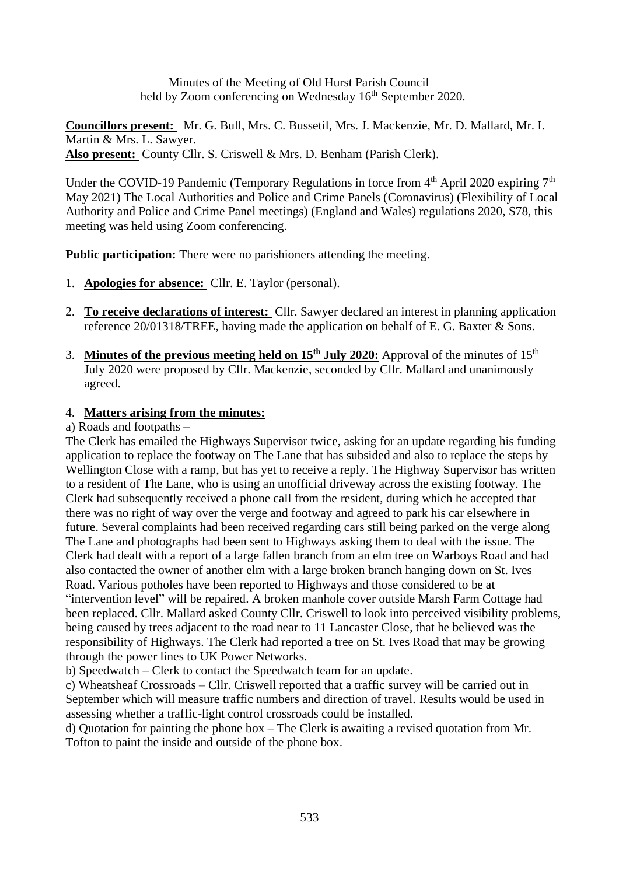Minutes of the Meeting of Old Hurst Parish Council held by Zoom conferencing on Wednesday 16<sup>th</sup> September 2020.

**Councillors present:** Mr. G. Bull, Mrs. C. Bussetil, Mrs. J. Mackenzie, Mr. D. Mallard, Mr. I. Martin & Mrs. L. Sawyer. **Also present:** County Cllr. S. Criswell & Mrs. D. Benham (Parish Clerk).

Under the COVID-19 Pandemic (Temporary Regulations in force from  $4<sup>th</sup>$  April 2020 expiring  $7<sup>th</sup>$ May 2021) The Local Authorities and Police and Crime Panels (Coronavirus) (Flexibility of Local Authority and Police and Crime Panel meetings) (England and Wales) regulations 2020, S78, this meeting was held using Zoom conferencing.

**Public participation:** There were no parishioners attending the meeting.

- 1. **Apologies for absence:** Cllr. E. Taylor (personal).
- 2. **To receive declarations of interest:** Cllr. Sawyer declared an interest in planning application reference 20/01318/TREE, having made the application on behalf of E. G. Baxter & Sons.
- 3. **Minutes of the previous meeting held on 15th July 2020:** Approval of the minutes of 15th July 2020 were proposed by Cllr. Mackenzie, seconded by Cllr. Mallard and unanimously agreed.

### 4. **Matters arising from the minutes:**

#### a) Roads and footpaths –

The Clerk has emailed the Highways Supervisor twice, asking for an update regarding his funding application to replace the footway on The Lane that has subsided and also to replace the steps by Wellington Close with a ramp, but has yet to receive a reply. The Highway Supervisor has written to a resident of The Lane, who is using an unofficial driveway across the existing footway. The Clerk had subsequently received a phone call from the resident, during which he accepted that there was no right of way over the verge and footway and agreed to park his car elsewhere in future. Several complaints had been received regarding cars still being parked on the verge along The Lane and photographs had been sent to Highways asking them to deal with the issue. The Clerk had dealt with a report of a large fallen branch from an elm tree on Warboys Road and had also contacted the owner of another elm with a large broken branch hanging down on St. Ives Road. Various potholes have been reported to Highways and those considered to be at "intervention level" will be repaired. A broken manhole cover outside Marsh Farm Cottage had been replaced. Cllr. Mallard asked County Cllr. Criswell to look into perceived visibility problems, being caused by trees adjacent to the road near to 11 Lancaster Close, that he believed was the responsibility of Highways. The Clerk had reported a tree on St. Ives Road that may be growing through the power lines to UK Power Networks.

b) Speedwatch – Clerk to contact the Speedwatch team for an update.

c) Wheatsheaf Crossroads – Cllr. Criswell reported that a traffic survey will be carried out in September which will measure traffic numbers and direction of travel. Results would be used in assessing whether a traffic-light control crossroads could be installed.

d) Quotation for painting the phone box – The Clerk is awaiting a revised quotation from Mr. Tofton to paint the inside and outside of the phone box.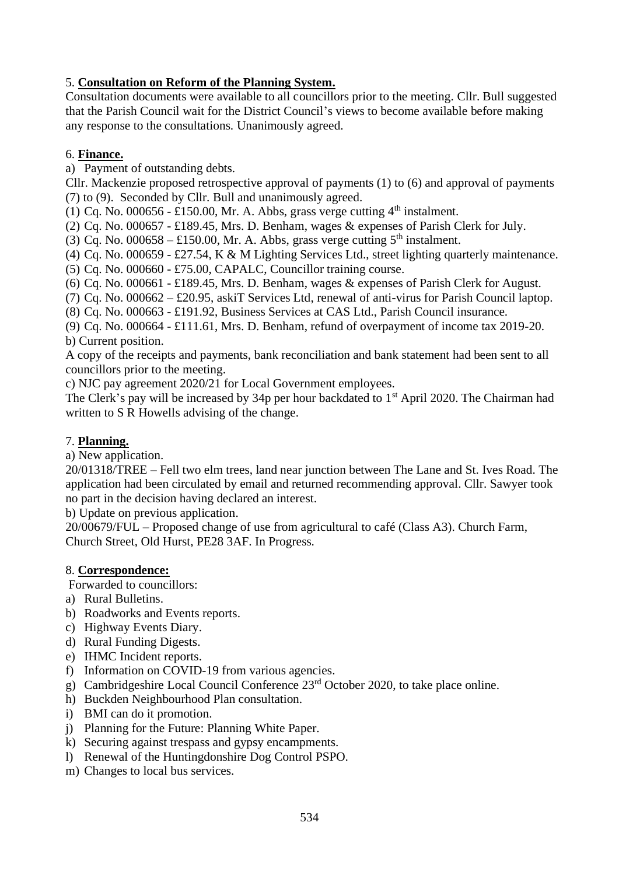# 5. **Consultation on Reform of the Planning System.**

Consultation documents were available to all councillors prior to the meeting. Cllr. Bull suggested that the Parish Council wait for the District Council's views to become available before making any response to the consultations. Unanimously agreed.

# 6. **Finance.**

a) Payment of outstanding debts.

Cllr. Mackenzie proposed retrospective approval of payments (1) to (6) and approval of payments (7) to (9). Seconded by Cllr. Bull and unanimously agreed.

(1) Cq. No. 000656 - £150.00, Mr. A. Abbs, grass verge cutting  $4<sup>th</sup>$  instalment.

(2) Cq. No. 000657 - £189.45, Mrs. D. Benham, wages & expenses of Parish Clerk for July.

(3) Cq. No. 000658 – £150.00, Mr. A. Abbs, grass verge cutting  $5<sup>th</sup>$  instalment.

(4) Cq. No. 000659 - £27.54, K & M Lighting Services Ltd., street lighting quarterly maintenance.

(5) Cq. No. 000660 - £75.00, CAPALC, Councillor training course.

(6) Cq. No. 000661 - £189.45, Mrs. D. Benham, wages & expenses of Parish Clerk for August.

(7) Cq. No. 000662 – £20.95, askiT Services Ltd, renewal of anti-virus for Parish Council laptop.

(8) Cq. No. 000663 - £191.92, Business Services at CAS Ltd., Parish Council insurance.

(9) Cq. No. 000664 - £111.61, Mrs. D. Benham, refund of overpayment of income tax 2019-20.

### b) Current position.

A copy of the receipts and payments, bank reconciliation and bank statement had been sent to all councillors prior to the meeting.

c) NJC pay agreement 2020/21 for Local Government employees.

The Clerk's pay will be increased by 34p per hour backdated to 1<sup>st</sup> April 2020. The Chairman had written to S R Howells advising of the change.

# 7. **Planning.**

a) New application.

20/01318/TREE – Fell two elm trees, land near junction between The Lane and St. Ives Road. The application had been circulated by email and returned recommending approval. Cllr. Sawyer took no part in the decision having declared an interest.

b) Update on previous application.

20/00679/FUL – Proposed change of use from agricultural to café (Class A3). Church Farm, Church Street, Old Hurst, PE28 3AF. In Progress.

# 8. **Correspondence:**

Forwarded to councillors:

- a) Rural Bulletins.
- b) Roadworks and Events reports.
- c) Highway Events Diary.
- d) Rural Funding Digests.
- e) IHMC Incident reports.
- f) Information on COVID-19 from various agencies.
- g) Cambridgeshire Local Council Conference 23rd October 2020, to take place online.
- h) Buckden Neighbourhood Plan consultation.
- i) BMI can do it promotion.
- j) Planning for the Future: Planning White Paper.
- k) Securing against trespass and gypsy encampments.
- l) Renewal of the Huntingdonshire Dog Control PSPO.
- m) Changes to local bus services.